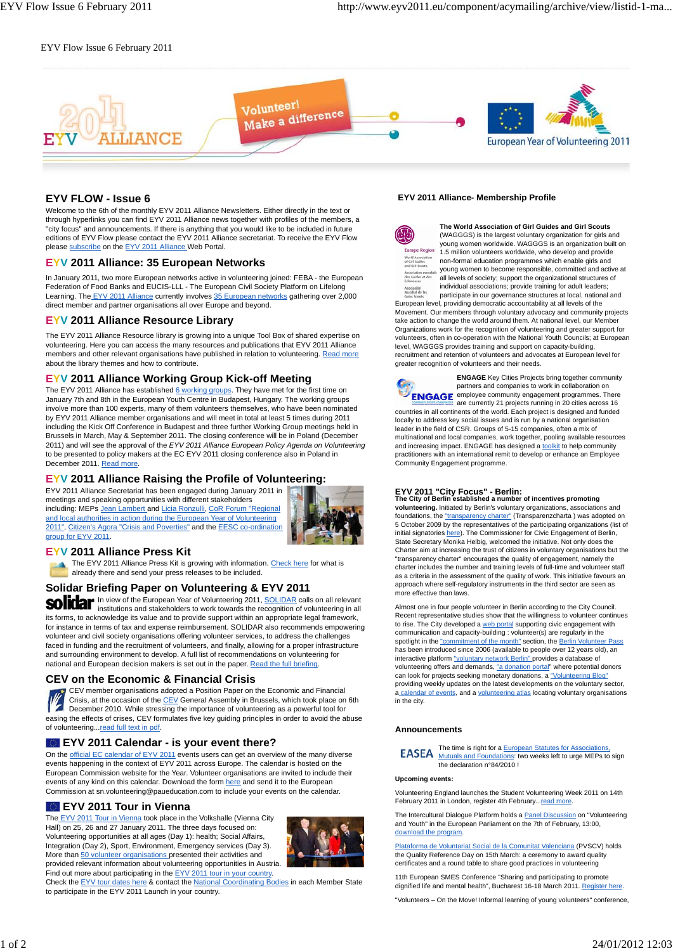## EYV Flow Issue 6 February 2011



# **EYV FLOW - Issue 6**

Welcome to the 6th of the monthly EYV 2011 Alliance Newsletters. Either directly in the text or through hyperlinks you can find EYV 2011 Alliance news together with profiles of the members, a "city focus" and announcements. If there is anything that you would like to be included in future editions of EYV Flow please contact the EYV 2011 Alliance secretariat. To receive the EYV Flow please subscribe on the EYV 2011 Alliance Web Portal.

### **EYV 2011 Alliance: 35 European Networks**

In January 2011, two more European networks active in volunteering joined: FEBA - the European Federation of Food Banks and EUCIS-LLL - The European Civil Society Platform on Lifelong Learning. The EYV 2011 Alliance currently involves 35 European networks gathering over 2,000 direct member and partner organisations all over Europe and beyond.

# **EYV 2011 Alliance Resource Library**

The EYV 2011 Alliance Resource library is growing into a unique Tool Box of shared expertise on volunteering. Here you can access the many resources and publications that EYV 2011 Alliance members and other relevant organisations have published in relation to volunteering. Read more about the library themes and how to contribute.

# **EYV 2011 Alliance Working Group Kick-off Meeting**

The EYV 2011 Alliance has established 6 working groups. They have met for the first time on January 7th and 8th in the European Youth Centre in Budapest, Hungary. The working groups involve more than 100 experts, many of them volunteers themselves, who have been nominated by EYV 2011 Alliance member organisations and will meet in total at least 5 times during 2011 including the Kick Off Conference in Budapest and three further Working Group meetings held in Brussels in March, May & September 2011. The closing conference will be in Poland (December 2011) and will see the approval of the *EYV 2011 Alliance European Policy Agenda on Volunteering* to be presented to policy makers at the EC EYV 2011 closing conference also in Poland in December 2011. Read more.

# **EYV 2011 Alliance Raising the Profile of Volunteering:**

EYV 2011 Alliance Secretariat has been engaged during January 2011 in meetings and speaking opportunities with different stakeholders including: MEPs Jean Lambert and Licia Ronzulli, CoR Forum "Regional and local authorities in action during the European Year of Volunteering 2011", Citizen's Agora "Crisis and Poverties" and the EESC co-ordination group for EYV 2011.



### **EYV 2011 Alliance Press Kit**

The EYV 2011 Alliance Press Kit is growing with information. Check here for what is already there and send your press releases to be included.

# **Solidar Briefing Paper on Volunteering & EYV 2011**

In view of the European Year of Volunteering 2011, SOLIDAR calls on all relevant institutions and stakeholders to work towards the recognition of volunteering in all its forms, to acknowledge its value and to provide support within an appropriate legal framework, for instance in terms of tax and expense reimbursement. SOLIDAR also recommends empowering volunteer and civil society organisations offering volunteer services, to address the challenges faced in funding and the recruitment of volunteers, and finally, allowing for a proper infrastructure and surrounding environment to develop. A full list of recommendations on volunteering for national and European decision makers is set out in the paper. Read the full briefing

### **CEV on the Economic & Financial Crisis**

CEV member organisations adopted a Position Paper on the Economic and Financial Crisis, at the occasion of the CEV General Assembly in Brussels, which took place on 6th December 2010. While stressing the importance of volunteering as a powerful tool for easing the effects of crises, CEV formulates five key guiding principles in order to avoid the abuse of volunteering...read full text in pdf.

# **EYV 2011 Calendar - is your event there?**

On the official EC calendar of EYV 2011 events users can get an overview of the many diverse events happening in the context of EYV 2011 across Europe. The calendar is hosted on the European Commission website for the Year. Volunteer organisations are invited to include their events of any kind on this calendar. Download the form here and send it to the European Commission at sn.volunteering@paueducation.com to include your events on the calendar.

### **EYV 2011 Tour in Vienna**

The EYV 2011 Tour in Vienna took place in the Volkshalle (Vienna City Hall) on 25, 26 and 27 January 2011. The three days focused on: Volunteering opportunities at all ages (Day 1): health; Social Affairs, Integration (Day 2), Sport, Environment, Emergency services (Day 3). More than 50 volunteer organisations presented their activities and provided relevant information about volunteering opportunities in Austria. Find out more about participating in the EYV 2011 tour in your country.



Check the EYV tour dates here & contact the National Coordinating Bodies in each Member State to participate in the EYV 2011 Launch in your country.

#### **EYV 2011 Alliance- Membership Profile**



**The World Association of Girl Guides and Girl Scouts** (WAGGGS) is the largest voluntary organization for girls and young women worldwide. WAGGGS is an organization built on 1.5 million volunteers worldwide, who develop and provide non-formal education programmes which enable girls and young women to become responsible, committed and active at all levels of society; support the organizational structures of individual associations; provide training for adult leaders;

ciación<br>ndial de las participate in our governance structures at local, national and European level, providing democratic accountability at all levels of the Movement. Our members through voluntary advocacy and community projects take action to change the world around them. At national level, our Member Organizations work for the recognition of volunteering and greater support for volunteers, often in co-operation with the National Youth Councils; at European level, WAGGGS provides training and support on capacity-building, recruitment and retention of volunteers and advocates at European level for greater recognition of volunteers and their needs.



**ENGAGE** Key Cities Projects bring together community partners and companies to work in collaboration on employee community engagement programmes. There are currently 21 projects running in 20 cities across 16 countries in all continents of the world. Each project is designed and funded locally to address key social issues and is run by a national organisation leader in the field of CSR. Groups of 5-15 companies, often a mix of

multinational and local companies, work together, pooling available resources and increasing impact. ENGAGE has designed a toolkit to help community practitioners with an international remit to develop or enhance an Employee Community Engagement programme.

#### **EYV 2011 "City Focus" - Berlin:**

**The City of Berlin established a number of incentives promoting volunteering.** Initiated by Berlin's voluntary organizations, associations and foundations, the "transparency charter" (Transparenzcharta) was adopted on 5 October 2009 by the representatives of the participating organizations (list of initial signatories here). The Commissioner for Civic Engagement of Berlin, State Secretary Monika Helbig, welcomed the initiative. Not only does the Charter aim at increasing the trust of citizens in voluntary organisations but the "transparency charter" encourages the quality of engagement, namely the charter includes the number and training levels of full-time and volunteer staff as a criteria in the assessment of the quality of work. This initiative favours an approach where self-regulatory instruments in the third sector are seen as more effective than laws

Almost one in four people volunteer in Berlin according to the City Council. Recent representative studies show that the willingness to volunteer continues to rise. The City developed a web portal supporting civic engagement with communication and capacity-building : volunteer(s) are regularly in the spotlight in the "commitment of the month" section, the Berlin Volunteer Pass has been introduced since 2006 (available to people over 12 years old), an interactive platform "voluntary network Berlin" provides a database of volunteering offers and demands, "a donation portal" where potential donors<br>can look for projects seeking monetary donations, a "Volunteering Blog" providing weekly updates on the latest developments on the voluntary sector, a calendar of events, and a volunteering atlas locating voluntary organisations in the city.

#### **Announcements**

The time is right for a **European Statutes for Assoc EASEA** Mutuals and Foundations: two weeks left to urge MEPs to sign<br>the declaration n°84/2010 !

#### **Upcoming events:**

Volunteering England launches the Student Volunteering Week 2011 on 14th February 2011 in London, register 4th February...read more

The Intercultural Dialogue Platform holds a Panel Discussion on "Volunteering and Youth" in the European Parliament on the 7th of February, 13:00, download the program.

Plataforma de Voluntariat Social de la Comunitat Valenciana (PVSCV) holds the Quality Reference Day on 15th March: a ceremony to award quality certificates and a round table to share good practices in volunteering

11th European SMES Conference "Sharing and participating to promote dignified life and mental health", Bucharest 16-18 March 2011. Register here

"Volunteers – On the Move! Informal learning of young volunteers" conference,